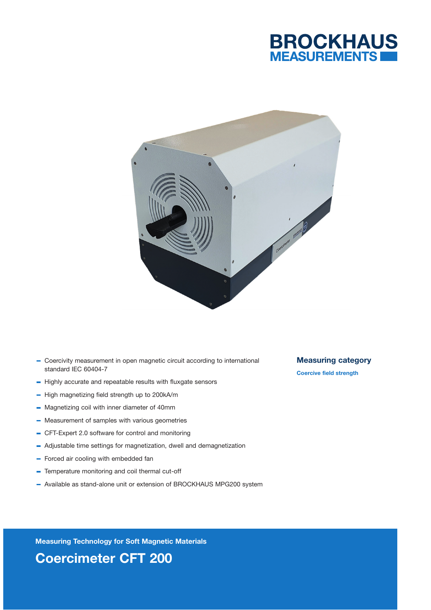



- Coercivity measurement in open magnetic circuit according to international standard IEC 60404-7
- $-$  Highly accurate and repeatable results with fluxgate sensors
- $-$  High magnetizing field strength up to 200kA/m
- Magnetizing coil with inner diameter of 40mm
- Measurement of samples with various geometries
- CFT-Expert 2.0 software for control and monitoring
- Adjustable time settings for magnetization, dwell and demagnetization
- Forced air cooling with embedded fan
- Temperature monitoring and coil thermal cut-off
- Available as stand-alone unit or extension of BROCKHAUS MPG200 system

Measuring category

Coercive field strength

Measuring Technology for Soft Magnetic Materials Coercimeter CFT 200